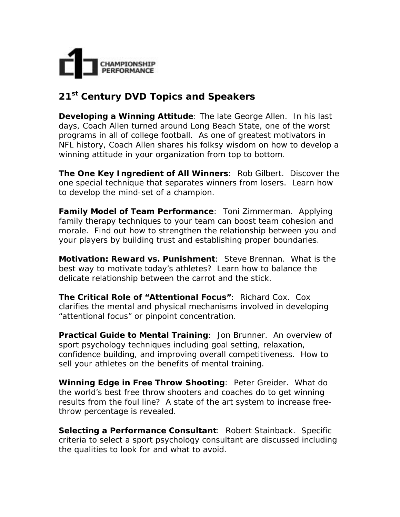

## **21st Century DVD Topics and Speakers**

**Developing a Winning Attitude**: *The late George Allen*. In his last days, Coach Allen turned around Long Beach State, one of the worst programs in all of college football. As one of greatest motivators in NFL history, Coach Allen shares his folksy wisdom on how to develop a winning attitude in your organization from top to bottom.

**The One Key Ingredient of All Winners**: *Rob Gilbert*. Discover the one special technique that separates winners from losers. Learn how to develop the mind-set of a champion.

**Family Model of Team Performance**: *Toni Zimmerman*. Applying family therapy techniques to your team can boost team cohesion and morale. Find out how to strengthen the relationship between you and your players by building trust and establishing proper boundaries.

**Motivation: Reward vs. Punishment**: *Steve Brennan*. What is the best way to motivate today's athletes? Learn how to balance the delicate relationship between the carrot and the stick.

**The Critical Role of "Attentional Focus"**: *Richard Cox*. Cox clarifies the mental and physical mechanisms involved in developing "attentional focus" or pinpoint concentration.

**Practical Guide to Mental Training**: *Jon Brunner*. An overview of sport psychology techniques including goal setting, relaxation, confidence building, and improving overall competitiveness. How to sell your athletes on the benefits of mental training.

**Winning Edge in Free Throw Shooting**: *Peter Greider*. What do the world's best free throw shooters and coaches do to get winning results from the foul line? A state of the art system to increase freethrow percentage is revealed.

**Selecting a Performance Consultant**: *Robert Stainback*. Specific criteria to select a sport psychology consultant are discussed including the qualities to look for and what to avoid.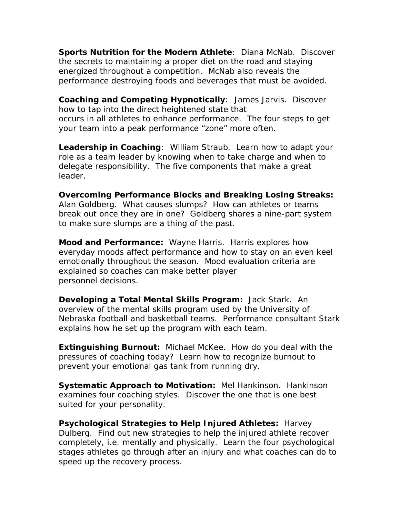**Sports Nutrition for the Modern Athlete**: *Diana McNab*. Discover the secrets to maintaining a proper diet on the road and staying energized throughout a competition. McNab also reveals the performance destroying foods and beverages that must be avoided.

**Coaching and Competing Hypnotically**: *James Jarvis*. Discover how to tap into the direct heightened state that occurs in all athletes to enhance performance. The four steps to get your team into a peak performance "zone" more often.

**Leadership in Coaching**: *William Straub*. Learn how to adapt your role as a team leader by knowing when to take charge and when to delegate responsibility. The five components that make a great leader.

**Overcoming Performance Blocks and Breaking Losing Streaks:** *Alan Goldberg*. What causes slumps? How can athletes or teams break out once they are in one? Goldberg shares a nine-part system to make sure slumps are a thing of the past.

**Mood and Performance:** *Wayne Harris*. Harris explores how everyday moods affect performance and how to stay on an even keel emotionally throughout the season. Mood evaluation criteria are explained so coaches can make better player personnel decisions.

**Developing a Total Mental Skills Program:** *Jack Stark*. An overview of the mental skills program used by the University of Nebraska football and basketball teams. Performance consultant Stark explains how he set up the program with each team.

**Extinguishing Burnout:** *Michael McKee*. How do you deal with the pressures of coaching today? Learn how to recognize burnout to prevent your emotional gas tank from running dry.

**Systematic Approach to Motivation:** *Mel Hankinson*. Hankinson examines four coaching styles. Discover the one that is one best suited for your personality.

**Psychological Strategies to Help Injured Athletes:** *Harvey Dulberg*. Find out new strategies to help the injured athlete recover completely, i.e. mentally and physically. Learn the four psychological stages athletes go through after an injury and what coaches can do to speed up the recovery process.